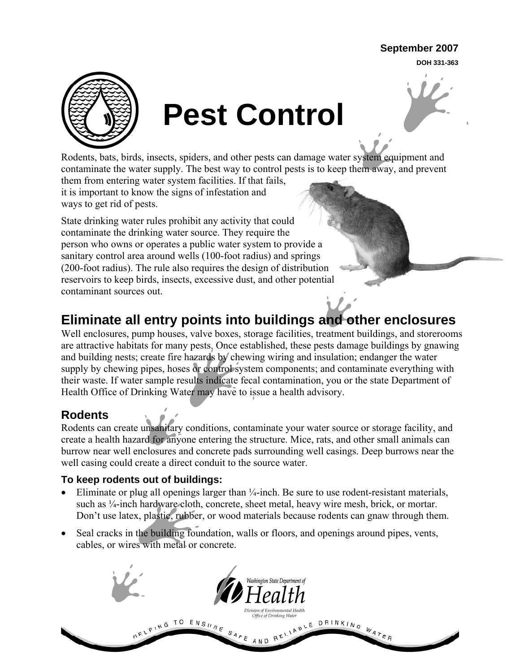#### **September 2007**

**DOH 331-363**



# **Pest Control**

Rodents, bats, birds, insects, spiders, and other pests can damage water system equipment and contaminate the water supply. The best way to control pests is to keep them away, and prevent

them from entering water system facilities. If that fails, it is important to know the signs of infestation and ways to get rid of pests.

State drinking water rules prohibit any activity that could contaminate the drinking water source. They require the person who owns or operates a public water system to provide a sanitary control area around wells (100-foot radius) and springs (200-foot radius). The rule also requires the design of distribution reservoirs to keep birds, insects, excessive dust, and other potential contaminant sources out.

# **Eliminate all entry points into buildings and other enclosures**

Well enclosures, pump houses, valve boxes, storage facilities, treatment buildings, and storerooms are attractive habitats for many pests. Once established, these pests damage buildings by gnawing and building nests; create fire hazards by chewing wiring and insulation; endanger the water supply by chewing pipes, hoses or control system components; and contaminate everything with their waste. If water sample results indicate fecal contamination, you or the state Department of Health Office of Drinking Water may have to issue a health advisory.

## **Rodents**

Rodents can create unsanitary conditions, contaminate your water source or storage facility, and create a health hazard for anyone entering the structure. Mice, rats, and other small animals can burrow near well enclosures and concrete pads surrounding well casings. Deep burrows near the well casing could create a direct conduit to the source water.

#### **To keep rodents out of buildings:**

- Eliminate or plug all openings larger than  $\frac{1}{4}$ -inch. Be sure to use rodent-resistant materials, such as  $\frac{1}{4}$ -inch hardware cloth, concrete, sheet metal, heavy wire mesh, brick, or mortar. Don't use latex, plastic, rubber, or wood materials because rodents can gnaw through them.
- Seal cracks in the building foundation, walls or floors, and openings around pipes, vents, cables, or wires with metal or concrete.

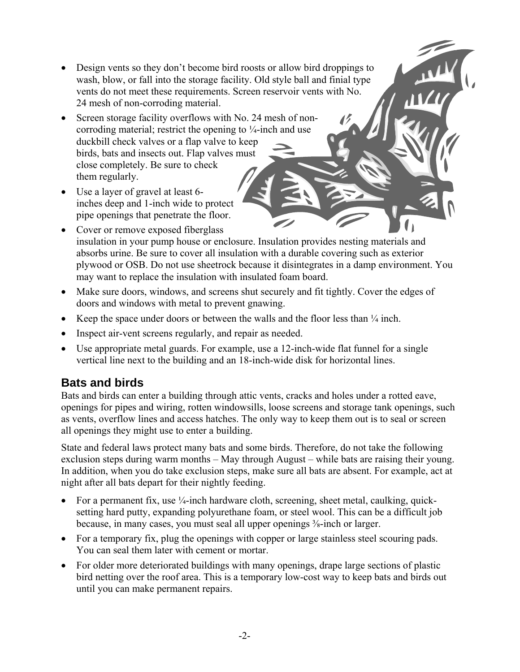- Design vents so they don't become bird roosts or allow bird droppings to wash, blow, or fall into the storage facility. Old style ball and finial type vents do not meet these requirements. Screen reservoir vents with No. 24 mesh of non-corroding material.
- Screen storage facility overflows with No. 24 mesh of noncorroding material; restrict the opening to ¼-inch and use duckbill check valves or a flap valve to keep birds, bats and insects out. Flap valves must close completely. Be sure to check them regularly.
- Use a layer of gravel at least 6 inches deep and 1-inch wide to protect pipe openings that penetrate the floor.
- Cover or remove exposed fiberglass insulation in your pump house or enclosure. Insulation provides nesting materials and absorbs urine. Be sure to cover all insulation with a durable covering such as exterior plywood or OSB. Do not use sheetrock because it disintegrates in a damp environment. You may want to replace the insulation with insulated foam board.
- Make sure doors, windows, and screens shut securely and fit tightly. Cover the edges of doors and windows with metal to prevent gnawing.
- Keep the space under doors or between the walls and the floor less than  $\frac{1}{4}$  inch.
- Inspect air-vent screens regularly, and repair as needed.
- Use appropriate metal guards. For example, use a 12-inch-wide flat funnel for a single vertical line next to the building and an 18-inch-wide disk for horizontal lines.

## **Bats and birds**

Bats and birds can enter a building through attic vents, cracks and holes under a rotted eave, openings for pipes and wiring, rotten windowsills, loose screens and storage tank openings, such as vents, overflow lines and access hatches. The only way to keep them out is to seal or screen all openings they might use to enter a building.

State and federal laws protect many bats and some birds. Therefore, do not take the following exclusion steps during warm months – May through August – while bats are raising their young. In addition, when you do take exclusion steps, make sure all bats are absent. For example, act at night after all bats depart for their nightly feeding.

- For a permanent fix, use  $\frac{1}{4}$ -inch hardware cloth, screening, sheet metal, caulking, quicksetting hard putty, expanding polyurethane foam, or steel wool. This can be a difficult job because, in many cases, you must seal all upper openings <sup>3</sup>/<sub>8</sub>-inch or larger.
- For a temporary fix, plug the openings with copper or large stainless steel scouring pads. You can seal them later with cement or mortar.
- For older more deteriorated buildings with many openings, drape large sections of plastic bird netting over the roof area. This is a temporary low-cost way to keep bats and birds out until you can make permanent repairs.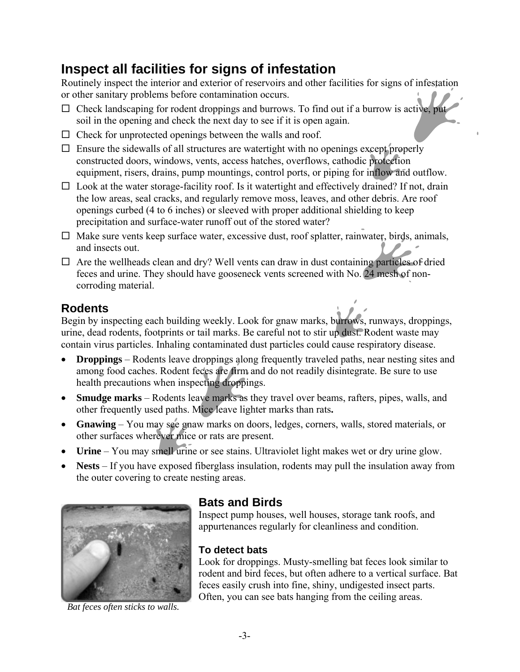# **Inspect all facilities for signs of infestation**

Routinely inspect the interior and exterior of reservoirs and other facilities for signs of infestation or other sanitary problems before contamination occurs.

- $\Box$  Check landscaping for rodent droppings and burrows. To find out if a burrow is active, put soil in the opening and check the next day to see if it is open again.
- $\Box$  Check for unprotected openings between the walls and roof.
- $\Box$  Ensure the sidewalls of all structures are watertight with no openings except properly constructed doors, windows, vents, access hatches, overflows, cathodic protection equipment, risers, drains, pump mountings, control ports, or piping for inflow and outflow.
- $\square$  Look at the water storage-facility roof. Is it watertight and effectively drained? If not, drain the low areas, seal cracks, and regularly remove moss, leaves, and other debris. Are roof openings curbed (4 to 6 inches) or sleeved with proper additional shielding to keep precipitation and surface-water runoff out of the stored water?
- $\Box$  Make sure vents keep surface water, excessive dust, roof splatter, rainwater, birds, animals, and insects out.
- $\Box$  Are the wellheads clean and dry? Well vents can draw in dust containing particles of dried feces and urine. They should have gooseneck vents screened with No. 24 mesh of noncorroding material.

## **Rodents**

Begin by inspecting each building weekly. Look for gnaw marks, burrows, runways, droppings, urine, dead rodents, footprints or tail marks. Be careful not to stir up dust. Rodent waste may contain virus particles. Inhaling contaminated dust particles could cause respiratory disease.

- **Droppings** Rodents leave droppings along frequently traveled paths, near nesting sites and among food caches. Rodent feces are firm and do not readily disintegrate. Be sure to use health precautions when inspecting droppings.
- **Smudge marks** Rodents leave marks as they travel over beams, rafters, pipes, walls, and other frequently used paths. Mice leave lighter marks than rats**.**
- **Gnawing**  You may see gnaw marks on doors, ledges, corners, walls, stored materials, or other surfaces wherever mice or rats are present.
- **Urine** You may smell urine or see stains. Ultraviolet light makes wet or dry urine glow.
- **Nests** If you have exposed fiberglass insulation, rodents may pull the insulation away from the outer covering to create nesting areas.



*Bat feces often sticks to walls.* 

#### **Bats and Birds**

Inspect pump houses, well houses, storage tank roofs, and appurtenances regularly for cleanliness and condition.

#### **To detect bats**

Look for droppings. Musty-smelling bat feces look similar to rodent and bird feces, but often adhere to a vertical surface. Bat feces easily crush into fine, shiny, undigested insect parts. Often, you can see bats hanging from the ceiling areas.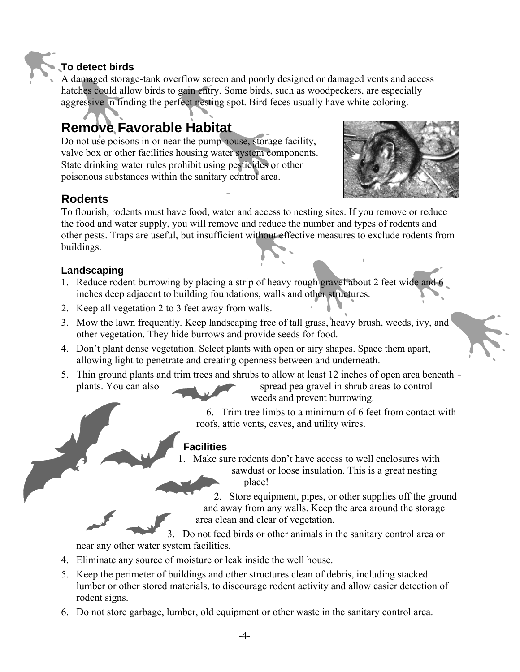#### **To detect birds**

A damaged storage-tank overflow screen and poorly designed or damaged vents and access hatches could allow birds to gain entry. Some birds, such as woodpeckers, are especially aggressive in finding the perfect nesting spot. Bird feces usually have white coloring.

# **Remove Favorable Habitat**

Do not use poisons in or near the pump house, storage facility, valve box or other facilities housing water system components. State drinking water rules prohibit using pesticides or other poisonous substances within the sanitary control area.



#### **Rodents**

To flourish, rodents must have food, water and access to nesting sites. If you remove or reduce the food and water supply, you will remove and reduce the number and types of rodents and other pests. Traps are useful, but insufficient without effective measures to exclude rodents from buildings.

#### **Landscaping**

- 1. Reduce rodent burrowing by placing a strip of heavy rough gravel about 2 feet wide and 6 inches deep adjacent to building foundations, walls and other structures.
- 2. Keep all vegetation 2 to 3 feet away from walls.
- 3. Mow the lawn frequently. Keep landscaping free of tall grass, heavy brush, weeds, ivy, and other vegetation. They hide burrows and provide seeds for food.
- 4. Don't plant dense vegetation. Select plants with open or airy shapes. Space them apart, allowing light to penetrate and creating openness between and underneath.
- 5. Thin ground plants and trim trees and shrubs to allow at least 12 inches of open area beneath plants. You can also spread pea gravel in shrub areas to control

weeds and prevent burrowing.

6. Trim tree limbs to a minimum of 6 feet from contact with roofs, attic vents, eaves, and utility wires.

#### **Facilities**

Make sure rodents don't have access to well enclosures with sawdust or loose insulation. This is a great nesting place!

2. Store equipment, pipes, or other supplies off the ground and away from any walls. Keep the area around the storage area clean and clear of vegetation.

3. Do not feed birds or other animals in the sanitary control area or near any other water system facilities.

- 4. Eliminate any source of moisture or leak inside the well house.
- 5. Keep the perimeter of buildings and other structures clean of debris, including stacked lumber or other stored materials, to discourage rodent activity and allow easier detection of rodent signs.
- 6. Do not store garbage, lumber, old equipment or other waste in the sanitary control area.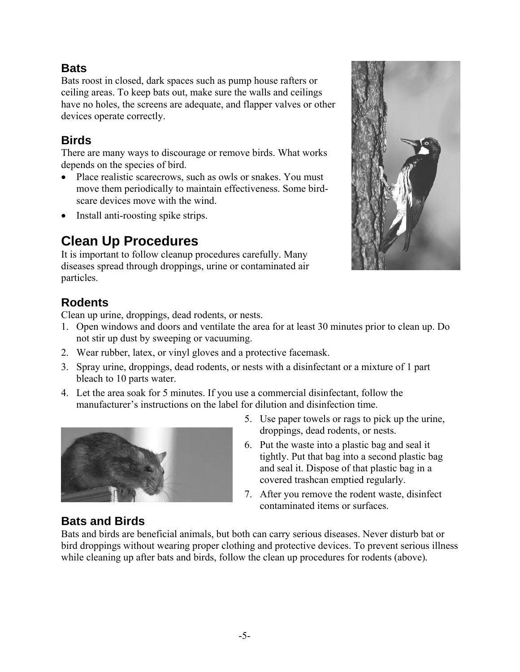#### **Bats**

Bats roost in closed, dark spaces such as pump house rafters or ceiling areas. To keep bats out, make sure the walls and ceilings have no holes, the screens are adequate, and flapper valves or other devices operate correctly.

## **Birds**

There are many ways to discourage or remove birds. What works depends on the species of bird.

- Place realistic scarecrows, such as owls or snakes. You must move them periodically to maintain effectiveness. Some birdscare devices move with the wind.
- Install anti-roosting spike strips.

# **Clean Up Procedures**

It is important to follow cleanup procedures carefully. Many diseases spread through droppings, urine or contaminated air particles.

## **Rodents**

Clean up urine, droppings, dead rodents, or nests.

- 1. Open windows and doors and ventilate the area for at least 30 minutes prior to clean up. Do not stir up dust by sweeping or vacuuming.
- 2. Wear rubber, latex, or vinyl gloves and a protective facemask.
- 3. Spray urine, droppings, dead rodents, or nests with a disinfectant or a mixture of 1 part bleach to 10 parts water.
- 4. Let the area soak for 5 minutes. If you use a commercial disinfectant, follow the manufacturer's instructions on the label for dilution and disinfection time.



- 5. Use paper towels or rags to pick up the urine, droppings, dead rodents, or nests.
- 6. Put the waste into a plastic bag and seal it tightly. Put that bag into a second plastic bag and seal it. Dispose of that plastic bag in a covered trashcan emptied regularly.
- 7. After you remove the rodent waste, disinfect contaminated items or surfaces.

## **Bats and Birds**

Bats and birds are beneficial animals, but both can carry serious diseases. Never disturb bat or bird droppings without wearing proper clothing and protective devices. To prevent serious illness while cleaning up after bats and birds, follow the clean up procedures for rodents (above)*.*